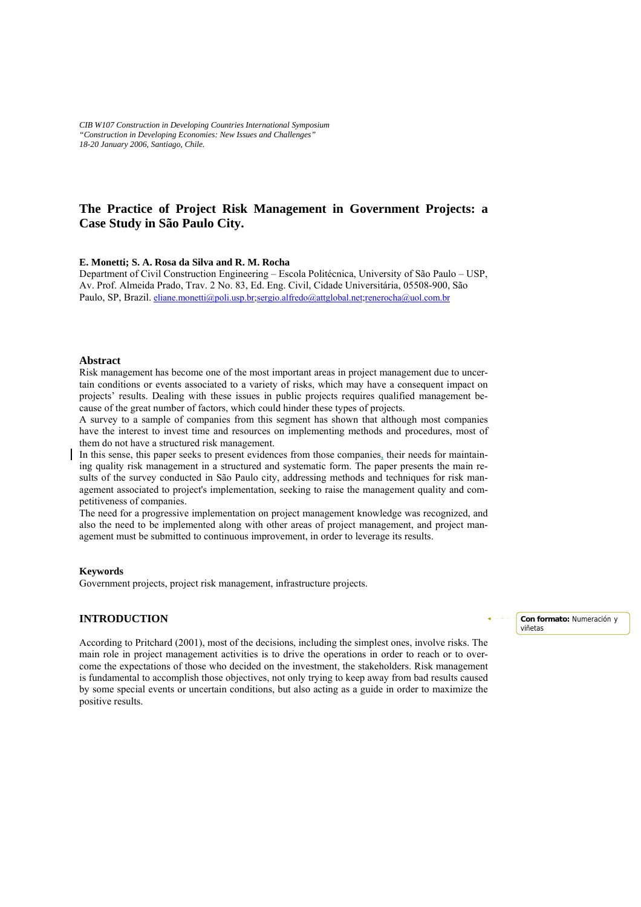*CIB W107 Construction in Developing Countries International Symposium "Construction in Developing Economies: New Issues and Challenges" 18-20 January 2006, Santiago, Chile.* 

# **The Practice of Project Risk Management in Government Projects: a Case Study in São Paulo City.**

#### **E. Monetti; S. A. Rosa da Silva and R. M. Rocha**

Department of Civil Construction Engineering – Escola Politécnica, University of São Paulo – USP, Av. Prof. Almeida Prado, Trav. 2 No. 83, Ed. Eng. Civil, Cidade Universitária, 05508-900, São Paulo, SP, Brazil. eliane.monetti@poli.usp.br;sergio.alfredo@attglobal.net;renerocha@uol.com.br

#### **Abstract**

Risk management has become one of the most important areas in project management due to uncertain conditions or events associated to a variety of risks, which may have a consequent impact on projects' results. Dealing with these issues in public projects requires qualified management because of the great number of factors, which could hinder these types of projects.

A survey to a sample of companies from this segment has shown that although most companies have the interest to invest time and resources on implementing methods and procedures, most of them do not have a structured risk management.

In this sense, this paper seeks to present evidences from those companies, their needs for maintaining quality risk management in a structured and systematic form. The paper presents the main results of the survey conducted in São Paulo city, addressing methods and techniques for risk management associated to project's implementation, seeking to raise the management quality and competitiveness of companies.

The need for a progressive implementation on project management knowledge was recognized, and also the need to be implemented along with other areas of project management, and project management must be submitted to continuous improvement, in order to leverage its results.

#### **Keywords**

Government projects, project risk management, infrastructure projects.

#### **INTRODUCTION**

According to Pritchard (2001), most of the decisions, including the simplest ones, involve risks. The main role in project management activities is to drive the operations in order to reach or to overcome the expectations of those who decided on the investment, the stakeholders. Risk management is fundamental to accomplish those objectives, not only trying to keep away from bad results caused by some special events or uncertain conditions, but also acting as a guide in order to maximize the positive results.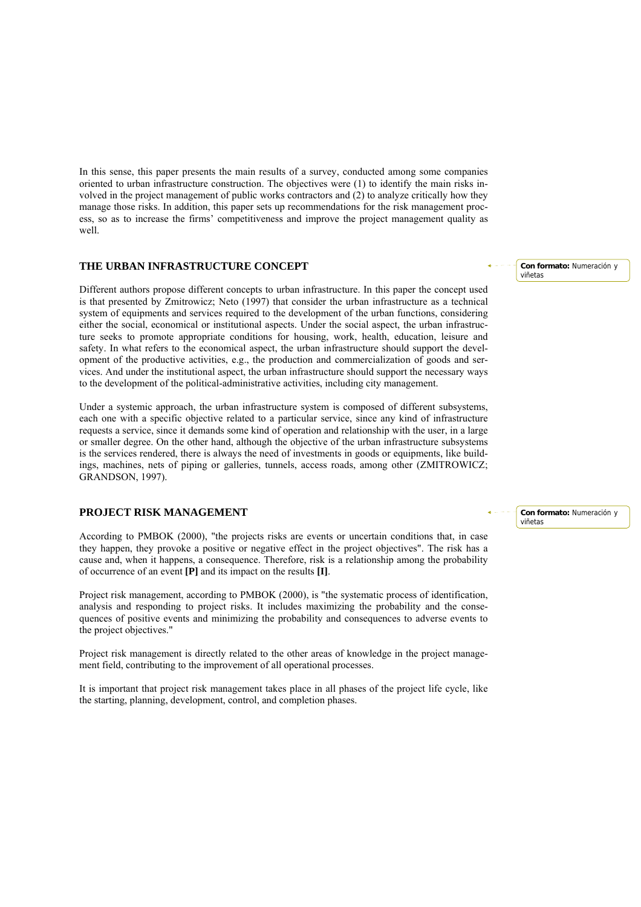In this sense, this paper presents the main results of a survey, conducted among some companies oriented to urban infrastructure construction. The objectives were (1) to identify the main risks involved in the project management of public works contractors and (2) to analyze critically how they manage those risks. In addition, this paper sets up recommendations for the risk management process, so as to increase the firms' competitiveness and improve the project management quality as well.

#### **THE URBAN INFRASTRUCTURE CONCEPT**

Different authors propose different concepts to urban infrastructure. In this paper the concept used is that presented by Zmitrowicz; Neto (1997) that consider the urban infrastructure as a technical system of equipments and services required to the development of the urban functions, considering either the social, economical or institutional aspects. Under the social aspect, the urban infrastructure seeks to promote appropriate conditions for housing, work, health, education, leisure and safety. In what refers to the economical aspect, the urban infrastructure should support the development of the productive activities, e.g., the production and commercialization of goods and services. And under the institutional aspect, the urban infrastructure should support the necessary ways to the development of the political-administrative activities, including city management.

Under a systemic approach, the urban infrastructure system is composed of different subsystems, each one with a specific objective related to a particular service, since any kind of infrastructure requests a service, since it demands some kind of operation and relationship with the user, in a large or smaller degree. On the other hand, although the objective of the urban infrastructure subsystems is the services rendered, there is always the need of investments in goods or equipments, like buildings, machines, nets of piping or galleries, tunnels, access roads, among other (ZMITROWICZ; GRANDSON, 1997).

### **PROJECT RISK MANAGEMENT**

According to PMBOK (2000), "the projects risks are events or uncertain conditions that, in case they happen, they provoke a positive or negative effect in the project objectives". The risk has a cause and, when it happens, a consequence. Therefore, risk is a relationship among the probability of occurrence of an event **[P]** and its impact on the results **[I]**.

Project risk management, according to PMBOK (2000), is "the systematic process of identification, analysis and responding to project risks. It includes maximizing the probability and the consequences of positive events and minimizing the probability and consequences to adverse events to the project objectives."

Project risk management is directly related to the other areas of knowledge in the project management field, contributing to the improvement of all operational processes.

It is important that project risk management takes place in all phases of the project life cycle, like the starting, planning, development, control, and completion phases.

**Con formato:** Numeración y viñetas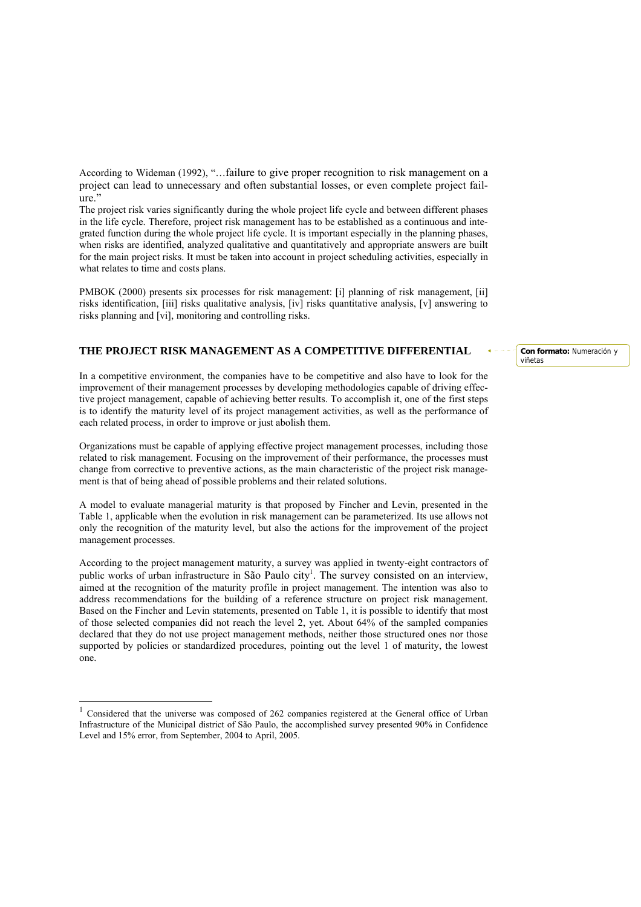According to Wideman (1992), "…failure to give proper recognition to risk management on a project can lead to unnecessary and often substantial losses, or even complete project failure."

The project risk varies significantly during the whole project life cycle and between different phases in the life cycle. Therefore, project risk management has to be established as a continuous and integrated function during the whole project life cycle. It is important especially in the planning phases, when risks are identified, analyzed qualitative and quantitatively and appropriate answers are built for the main project risks. It must be taken into account in project scheduling activities, especially in what relates to time and costs plans.

PMBOK (2000) presents six processes for risk management: [i] planning of risk management, [ii] risks identification, [iii] risks qualitative analysis, [iv] risks quantitative analysis, [v] answering to risks planning and [vi], monitoring and controlling risks.

#### **THE PROJECT RISK MANAGEMENT AS A COMPETITIVE DIFFERENTIAL**

In a competitive environment, the companies have to be competitive and also have to look for the improvement of their management processes by developing methodologies capable of driving effective project management, capable of achieving better results. To accomplish it, one of the first steps is to identify the maturity level of its project management activities, as well as the performance of each related process, in order to improve or just abolish them.

Organizations must be capable of applying effective project management processes, including those related to risk management. Focusing on the improvement of their performance, the processes must change from corrective to preventive actions, as the main characteristic of the project risk management is that of being ahead of possible problems and their related solutions.

A model to evaluate managerial maturity is that proposed by Fincher and Levin, presented in the Table 1, applicable when the evolution in risk management can be parameterized. Its use allows not only the recognition of the maturity level, but also the actions for the improvement of the project management processes.

According to the project management maturity, a survey was applied in twenty-eight contractors of public works of urban infrastructure in São Paulo city<sup>1</sup>. The survey consisted on an interview, aimed at the recognition of the maturity profile in project management. The intention was also to address recommendations for the building of a reference structure on project risk management. Based on the Fincher and Levin statements, presented on Table 1, it is possible to identify that most of those selected companies did not reach the level 2, yet. About 64% of the sampled companies declared that they do not use project management methods, neither those structured ones nor those supported by policies or standardized procedures, pointing out the level 1 of maturity, the lowest one.

 $\overline{a}$ 

<sup>1</sup> Considered that the universe was composed of 262 companies registered at the General office of Urban Infrastructure of the Municipal district of São Paulo, the accomplished survey presented 90% in Confidence Level and 15% error, from September, 2004 to April, 2005.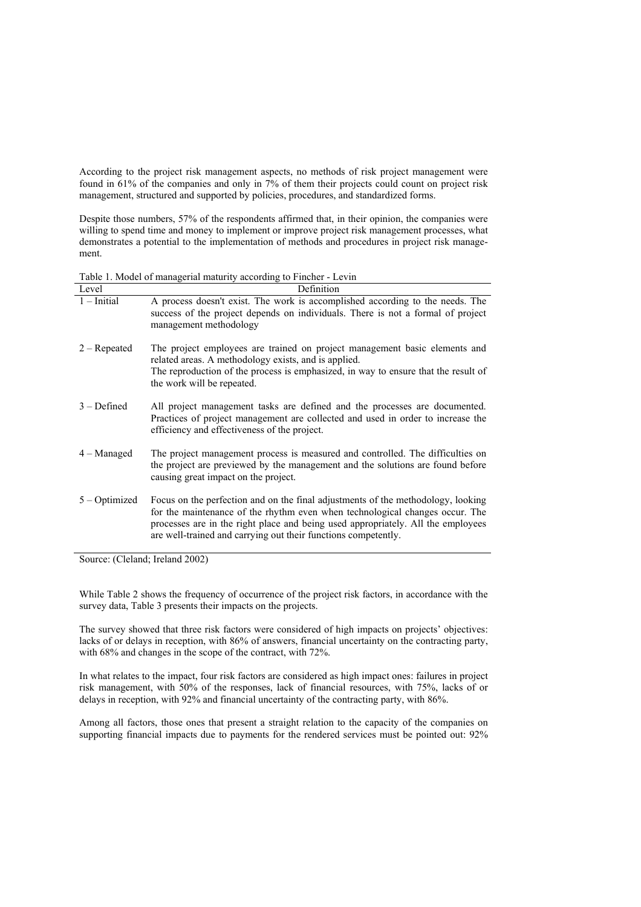According to the project risk management aspects, no methods of risk project management were found in 61% of the companies and only in 7% of them their projects could count on project risk management, structured and supported by policies, procedures, and standardized forms.

Despite those numbers, 57% of the respondents affirmed that, in their opinion, the companies were willing to spend time and money to implement or improve project risk management processes, what demonstrates a potential to the implementation of methods and procedures in project risk management.

Table 1. Model of managerial maturity according to Fincher - Levin

| Level           | Definition                                                                                                                                                                                                                                                                                                             |  |  |  |
|-----------------|------------------------------------------------------------------------------------------------------------------------------------------------------------------------------------------------------------------------------------------------------------------------------------------------------------------------|--|--|--|
| $1$ – Initial   | A process doesn't exist. The work is accomplished according to the needs. The<br>success of the project depends on individuals. There is not a formal of project<br>management methodology                                                                                                                             |  |  |  |
| $2 -$ Repeated  | The project employees are trained on project management basic elements and<br>related areas. A methodology exists, and is applied.<br>The reproduction of the process is emphasized, in way to ensure that the result of<br>the work will be repeated.                                                                 |  |  |  |
| $3 - Defined$   | All project management tasks are defined and the processes are documented.<br>Practices of project management are collected and used in order to increase the<br>efficiency and effectiveness of the project.                                                                                                          |  |  |  |
| $4 -$ Managed   | The project management process is measured and controlled. The difficulties on<br>the project are previewed by the management and the solutions are found before<br>causing great impact on the project.                                                                                                               |  |  |  |
| $5 - Optimized$ | Focus on the perfection and on the final adjustments of the methodology, looking<br>for the maintenance of the rhythm even when technological changes occur. The<br>processes are in the right place and being used appropriately. All the employees<br>are well-trained and carrying out their functions competently. |  |  |  |

Source: (Cleland; Ireland 2002)

While Table 2 shows the frequency of occurrence of the project risk factors, in accordance with the survey data, Table 3 presents their impacts on the projects.

The survey showed that three risk factors were considered of high impacts on projects' objectives: lacks of or delays in reception, with 86% of answers, financial uncertainty on the contracting party, with 68% and changes in the scope of the contract, with 72%.

In what relates to the impact, four risk factors are considered as high impact ones: failures in project risk management, with 50% of the responses, lack of financial resources, with 75%, lacks of or delays in reception, with 92% and financial uncertainty of the contracting party, with 86%.

Among all factors, those ones that present a straight relation to the capacity of the companies on supporting financial impacts due to payments for the rendered services must be pointed out: 92%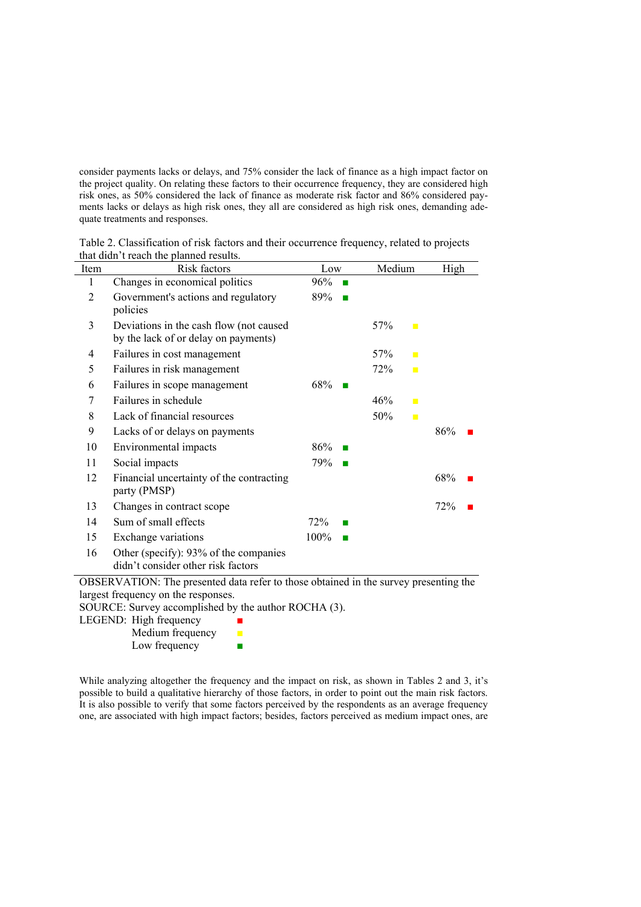consider payments lacks or delays, and 75% consider the lack of finance as a high impact factor on the project quality. On relating these factors to their occurrence frequency, they are considered high risk ones, as 50% considered the lack of finance as moderate risk factor and 86% considered payments lacks or delays as high risk ones, they all are considered as high risk ones, demanding adequate treatments and responses.

| Table 2. Classification of risk factors and their occurrence frequency, related to projects |  |  |  |
|---------------------------------------------------------------------------------------------|--|--|--|
| that didn't reach the planned results.                                                      |  |  |  |

| Item           | Risk factors                                             | Low              | Medium                | High                   |
|----------------|----------------------------------------------------------|------------------|-----------------------|------------------------|
| 1              | Changes in economical politics                           | 96%              |                       |                        |
| $\overline{2}$ | Government's actions and regulatory                      | 89%              |                       |                        |
|                | policies                                                 |                  |                       |                        |
| 3              | Deviations in the cash flow (not caused                  |                  | 57%<br>$\blacksquare$ |                        |
|                | by the lack of or delay on payments)                     |                  |                       |                        |
| 4              | Failures in cost management                              |                  | 57%<br>$\blacksquare$ |                        |
| 5              | Failures in risk management                              |                  | 72%<br>$\blacksquare$ |                        |
| 6              | Failures in scope management                             | 68%              |                       |                        |
| 7              | Failures in schedule                                     |                  | 46%<br>$\blacksquare$ |                        |
| 8              | Lack of financial resources                              |                  | 50%<br>$\blacksquare$ |                        |
| 9              | Lacks of or delays on payments                           |                  |                       | 86%                    |
| 10             | Environmental impacts                                    | 86%              |                       |                        |
| 11             | Social impacts                                           | 79%              |                       |                        |
| 12             | Financial uncertainty of the contracting<br>party (PMSP) |                  |                       | 68%                    |
| 13             | Changes in contract scope                                |                  |                       | 72%                    |
| 14             | Sum of small effects                                     | 72%              |                       |                        |
| 15             | Exchange variations                                      | 100%             |                       |                        |
| 16             | Other (specify): 93% of the companies                    |                  |                       |                        |
|                | didn't consider other risk factors                       |                  |                       |                        |
|                | $1 \quad 1 \quad .$                                      | 1.7.7<br>$\cdot$ | $\sim$ 1              | $\cdot$ .<br>$\cdot$ 1 |

OBSERVATION: The presented data refer to those obtained in the survey presenting the largest frequency on the responses.

SOURCE: Survey accomplished by the author ROCHA (3).

LEGEND: High frequency  $\blacksquare$ 

| Medium frequency |  |
|------------------|--|
| Low frequency    |  |

While analyzing altogether the frequency and the impact on risk, as shown in Tables 2 and 3, it's possible to build a qualitative hierarchy of those factors, in order to point out the main risk factors. It is also possible to verify that some factors perceived by the respondents as an average frequency one, are associated with high impact factors; besides, factors perceived as medium impact ones, are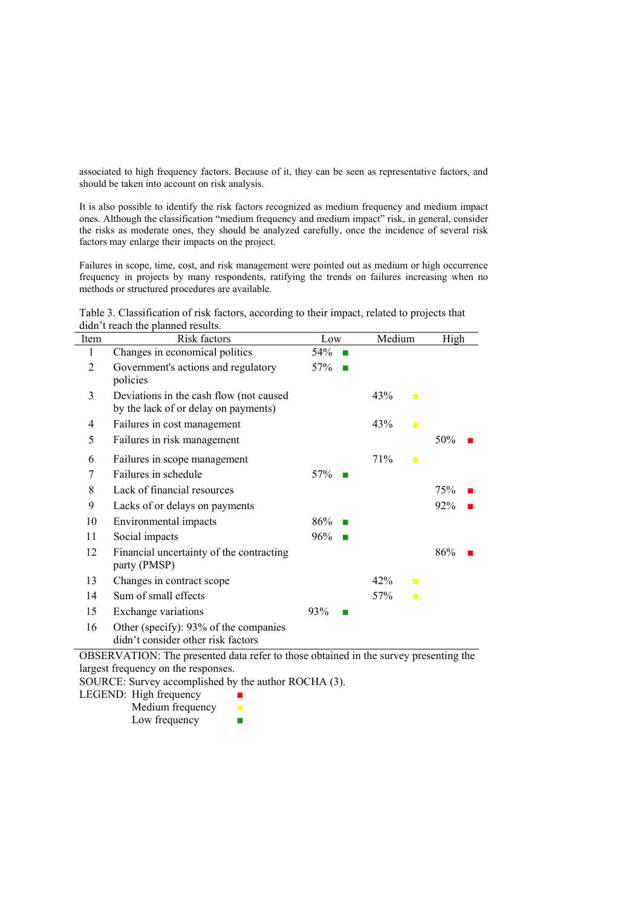associated to high frequency factors. Because of it, they can be seen as representative factors, and should be taken into account on risk analysis.

It is also possible to identify the risk factors recognized as medium frequency and medium impact ones. Although the classification "medium frequency and medium impact" risk, in general, consider the risks as moderate ones, they should be analyzed carefully, once the incidence of several risk factors may enlarge their impacts on the project.

Failures in scope, time, cost, and risk management were pointed out as medium or high occurrence frequency in projects by many respondents, ratifying the trends on failures increasing when no methods or structured procedures are available.

Table 3. Classification of risk factors, according to their impact, related to projects that didn't reach the planned results.

| Item           | Risk factors                                                                     | Low                   | Medium                | High |
|----------------|----------------------------------------------------------------------------------|-----------------------|-----------------------|------|
|                | Changes in economical politics                                                   | 54%<br>$\blacksquare$ |                       |      |
| $\overline{2}$ | Government's actions and regulatory<br>policies                                  | 57%                   |                       |      |
| 3              | Deviations in the cash flow (not caused)<br>by the lack of or delay on payments) |                       | 43%<br>$\mathbb{R}^n$ |      |
| 4              | Failures in cost management                                                      |                       | 43%<br>$\blacksquare$ |      |
| 5              | Failures in risk management                                                      |                       |                       | 50%  |
| 6              | Failures in scope management                                                     |                       | 71%<br>$\blacksquare$ |      |
| 7              | Failures in schedule                                                             | 57%                   |                       |      |
| 8              | Lack of financial resources                                                      |                       |                       | 75%  |
| 9              | Lacks of or delays on payments                                                   |                       |                       | 92%  |
| 10             | Environmental impacts                                                            | 86%                   |                       |      |
| 11             | Social impacts                                                                   | 96%<br>×              |                       |      |
| 12             | Financial uncertainty of the contracting<br>party (PMSP)                         |                       |                       | 86%  |
| 13             | Changes in contract scope                                                        |                       | 42%<br>$\mathbf{r}$   |      |
| 14             | Sum of small effects                                                             |                       | 57%<br>$\blacksquare$ |      |
| 15             | Exchange variations                                                              | 93%                   |                       |      |
| 16             | Other (specify): 93% of the companies<br>didn't consider other risk factors      |                       |                       |      |

OBSERVATION: The presented data refer to those obtained in the survey presenting the largest frequency on the responses.

SOURCE: Survey accomplished by the author ROCHA (3).

| LEGEND: High frequency |  |  |
|------------------------|--|--|
|------------------------|--|--|

Medium frequency ■ Low frequency  $\blacksquare$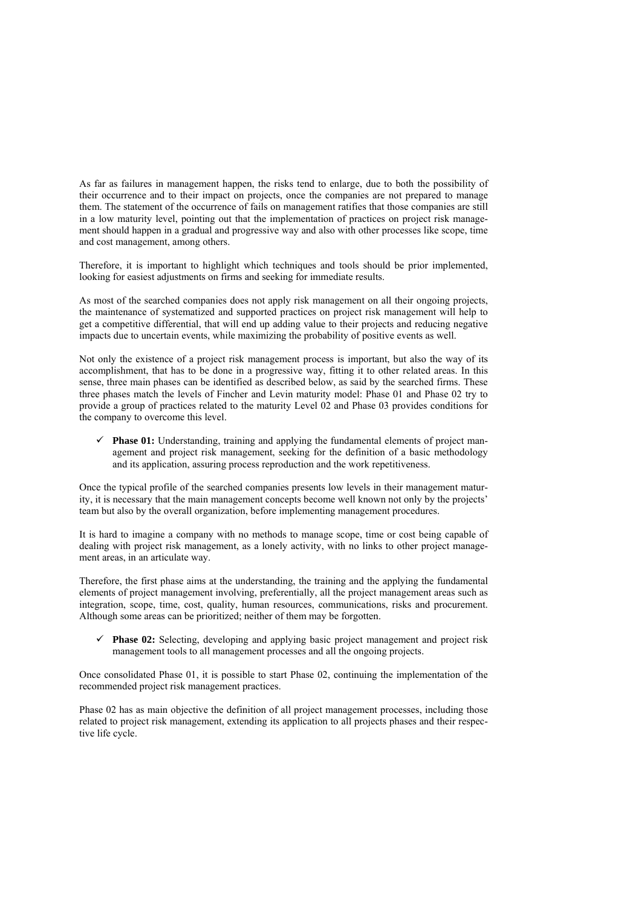As far as failures in management happen, the risks tend to enlarge, due to both the possibility of their occurrence and to their impact on projects, once the companies are not prepared to manage them. The statement of the occurrence of fails on management ratifies that those companies are still in a low maturity level, pointing out that the implementation of practices on project risk management should happen in a gradual and progressive way and also with other processes like scope, time and cost management, among others.

Therefore, it is important to highlight which techniques and tools should be prior implemented, looking for easiest adjustments on firms and seeking for immediate results.

As most of the searched companies does not apply risk management on all their ongoing projects, the maintenance of systematized and supported practices on project risk management will help to get a competitive differential, that will end up adding value to their projects and reducing negative impacts due to uncertain events, while maximizing the probability of positive events as well.

Not only the existence of a project risk management process is important, but also the way of its accomplishment, that has to be done in a progressive way, fitting it to other related areas. In this sense, three main phases can be identified as described below, as said by the searched firms. These three phases match the levels of Fincher and Levin maturity model: Phase 01 and Phase 02 try to provide a group of practices related to the maturity Level 02 and Phase 03 provides conditions for the company to overcome this level.

 $\checkmark$  **Phase 01:** Understanding, training and applying the fundamental elements of project management and project risk management, seeking for the definition of a basic methodology and its application, assuring process reproduction and the work repetitiveness.

Once the typical profile of the searched companies presents low levels in their management maturity, it is necessary that the main management concepts become well known not only by the projects' team but also by the overall organization, before implementing management procedures.

It is hard to imagine a company with no methods to manage scope, time or cost being capable of dealing with project risk management, as a lonely activity, with no links to other project management areas, in an articulate way.

Therefore, the first phase aims at the understanding, the training and the applying the fundamental elements of project management involving, preferentially, all the project management areas such as integration, scope, time, cost, quality, human resources, communications, risks and procurement. Although some areas can be prioritized; neither of them may be forgotten.

9 **Phase 02:** Selecting, developing and applying basic project management and project risk management tools to all management processes and all the ongoing projects.

Once consolidated Phase 01, it is possible to start Phase 02, continuing the implementation of the recommended project risk management practices.

Phase 02 has as main objective the definition of all project management processes, including those related to project risk management, extending its application to all projects phases and their respective life cycle.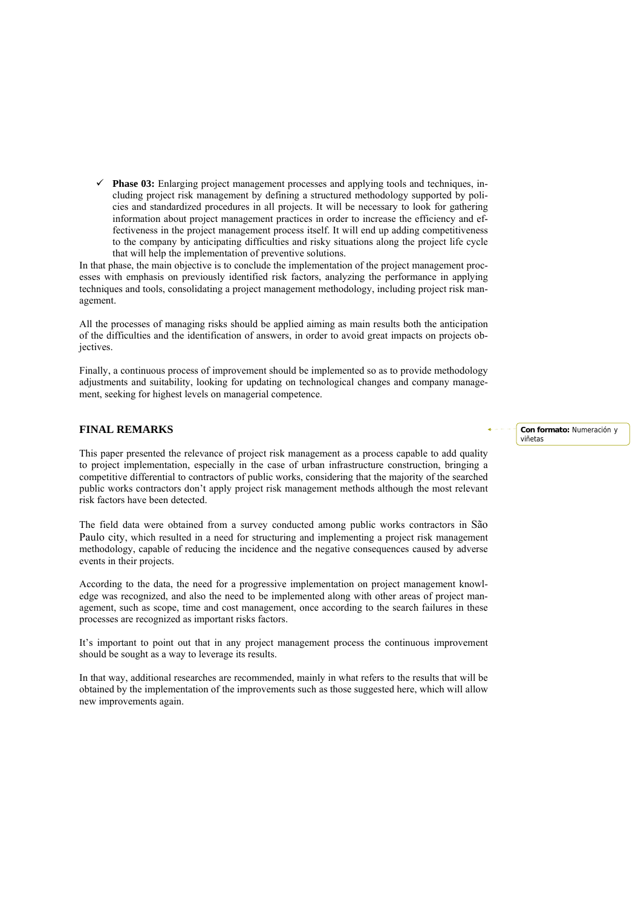$\checkmark$  **Phase 03:** Enlarging project management processes and applying tools and techniques, including project risk management by defining a structured methodology supported by policies and standardized procedures in all projects. It will be necessary to look for gathering information about project management practices in order to increase the efficiency and effectiveness in the project management process itself. It will end up adding competitiveness to the company by anticipating difficulties and risky situations along the project life cycle that will help the implementation of preventive solutions.

In that phase, the main objective is to conclude the implementation of the project management processes with emphasis on previously identified risk factors, analyzing the performance in applying techniques and tools, consolidating a project management methodology, including project risk management.

All the processes of managing risks should be applied aiming as main results both the anticipation of the difficulties and the identification of answers, in order to avoid great impacts on projects objectives.

Finally, a continuous process of improvement should be implemented so as to provide methodology adjustments and suitability, looking for updating on technological changes and company management, seeking for highest levels on managerial competence.

### **FINAL REMARKS**

This paper presented the relevance of project risk management as a process capable to add quality to project implementation, especially in the case of urban infrastructure construction, bringing a competitive differential to contractors of public works, considering that the majority of the searched public works contractors don't apply project risk management methods although the most relevant risk factors have been detected.

The field data were obtained from a survey conducted among public works contractors in São Paulo city, which resulted in a need for structuring and implementing a project risk management methodology, capable of reducing the incidence and the negative consequences caused by adverse events in their projects.

According to the data, the need for a progressive implementation on project management knowledge was recognized, and also the need to be implemented along with other areas of project management, such as scope, time and cost management, once according to the search failures in these processes are recognized as important risks factors.

It's important to point out that in any project management process the continuous improvement should be sought as a way to leverage its results.

In that way, additional researches are recommended, mainly in what refers to the results that will be obtained by the implementation of the improvements such as those suggested here, which will allow new improvements again.